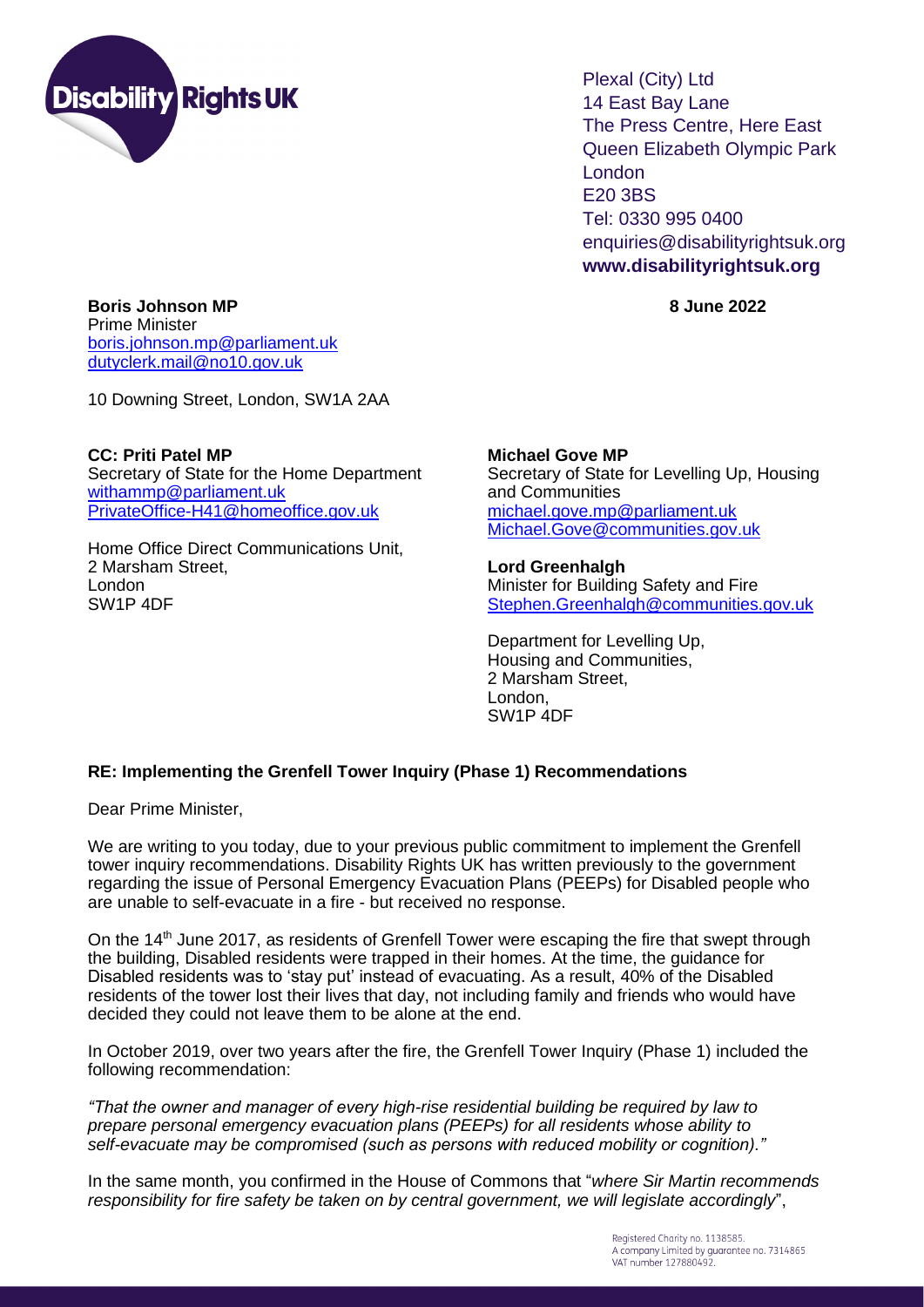

Plexal (City) Ltd 14 East Bay Lane The Press Centre, Here East Queen Elizabeth Olympic Park London E20 3BS Tel: 0330 995 0400 enquiries@disabilityrightsuk.org **www.disabilityrightsuk.org**

**Boris Johnson MP 8 June 2022** Prime Minister [boris.johnson.mp@parliament.uk](mailto:boris.johnson.mp@parliament.uk) [dutyclerk.mail@no10.gov.uk](mailto:dutyclerk.mail@no10.gov.uk)

10 Downing Street, London, SW1A 2AA

**CC: Priti Patel MP** Secretary of State for the Home Department [withammp@parliament.uk](mailto:withammp@parliament.uk) [PrivateOffice-H41@homeoffice.gov.uk](mailto:PrivateOffice-H41@homeoffice.gov.uk)

Home Office Direct Communications Unit, 2 Marsham Street, London SW1P 4DF

**Michael Gove MP** Secretary of State for Levelling Up, Housing and Communities [michael.gove.mp@parliament.uk](mailto:michael.gove.mp@parliament.uk) [Michael.Gove@communities.gov.uk](mailto:Michael.Gove@communities.gov.uk)

**Lord Greenhalgh**  Minister for Building Safety and Fire [Stephen.Greenhalgh@communities.gov.uk](mailto:Stephen.Greenhalgh@communities.gov.uk)

Department for Levelling Up, Housing and Communities, 2 Marsham Street, London, SW1P 4DF

## **RE: Implementing the Grenfell Tower Inquiry (Phase 1) Recommendations**

Dear Prime Minister,

We are writing to you today, due to your previous public commitment to implement the Grenfell tower inquiry recommendations. Disability Rights UK has written previously to the government regarding the issue of Personal Emergency Evacuation Plans (PEEPs) for Disabled people who are unable to self-evacuate in a fire - but received no response.

On the 14<sup>th</sup> June 2017, as residents of Grenfell Tower were escaping the fire that swept through the building, Disabled residents were trapped in their homes. At the time, the guidance for Disabled residents was to 'stay put' instead of evacuating. As a result, 40% of the Disabled residents of the tower lost their lives that day, not including family and friends who would have decided they could not leave them to be alone at the end.

In October 2019, over two years after the fire, the Grenfell Tower Inquiry (Phase 1) included the following recommendation:

*"That the owner and manager of every high-rise residential building be required by law to prepare personal emergency evacuation plans (PEEPs) for all residents whose ability to self-evacuate may be compromised (such as persons with reduced mobility or cognition)."*

In the same month, you confirmed in the House of Commons that "*where Sir Martin recommends responsibility for fire safety be taken on by central government, we will legislate accordingly*",